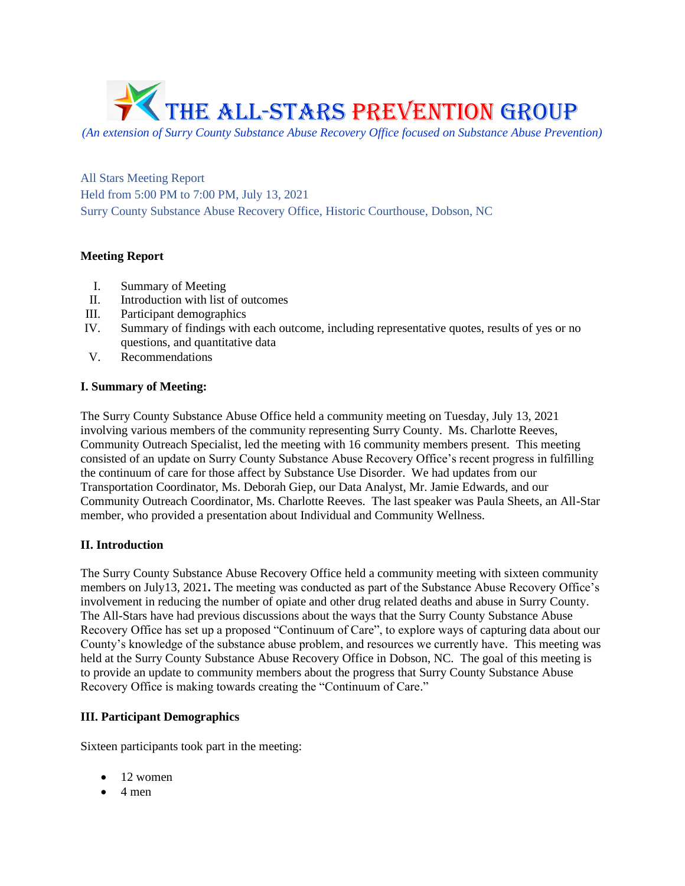

*(An extension of Surry County Substance Abuse Recovery Office focused on Substance Abuse Prevention)*

All Stars Meeting Report Held from 5:00 PM to 7:00 PM, July 13, 2021 Surry County Substance Abuse Recovery Office, Historic Courthouse, Dobson, NC

# **Meeting Report**

- I. Summary of Meeting
- II. Introduction with list of outcomes
- III. Participant demographics
- IV. Summary of findings with each outcome, including representative quotes, results of yes or no questions, and quantitative data
- V. Recommendations

# **I. Summary of Meeting:**

The Surry County Substance Abuse Office held a community meeting on Tuesday, July 13, 2021 involving various members of the community representing Surry County. Ms. Charlotte Reeves, Community Outreach Specialist, led the meeting with 16 community members present. This meeting consisted of an update on Surry County Substance Abuse Recovery Office's recent progress in fulfilling the continuum of care for those affect by Substance Use Disorder. We had updates from our Transportation Coordinator, Ms. Deborah Giep, our Data Analyst, Mr. Jamie Edwards, and our Community Outreach Coordinator, Ms. Charlotte Reeves. The last speaker was Paula Sheets, an All-Star member, who provided a presentation about Individual and Community Wellness.

# **II. Introduction**

The Surry County Substance Abuse Recovery Office held a community meeting with sixteen community members on July13, 2021**.** The meeting was conducted as part of the Substance Abuse Recovery Office's involvement in reducing the number of opiate and other drug related deaths and abuse in Surry County. The All-Stars have had previous discussions about the ways that the Surry County Substance Abuse Recovery Office has set up a proposed "Continuum of Care", to explore ways of capturing data about our County's knowledge of the substance abuse problem, and resources we currently have. This meeting was held at the Surry County Substance Abuse Recovery Office in Dobson, NC. The goal of this meeting is to provide an update to community members about the progress that Surry County Substance Abuse Recovery Office is making towards creating the "Continuum of Care."

# **III. Participant Demographics**

Sixteen participants took part in the meeting:

- 12 women
- $\bullet$  4 men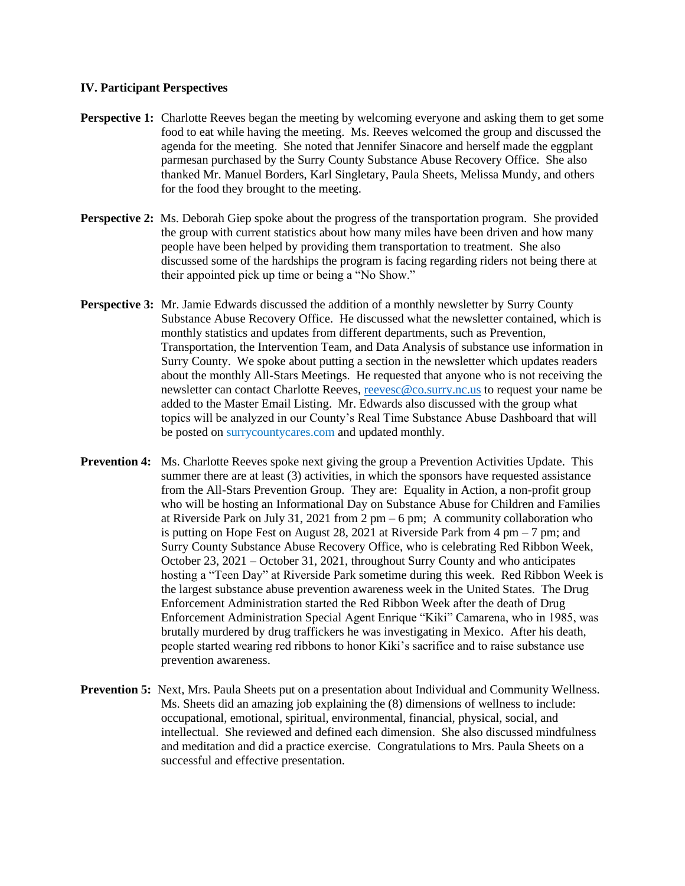### **IV. Participant Perspectives**

- **Perspective 1:** Charlotte Reeves began the meeting by welcoming everyone and asking them to get some food to eat while having the meeting. Ms. Reeves welcomed the group and discussed the agenda for the meeting. She noted that Jennifer Sinacore and herself made the eggplant parmesan purchased by the Surry County Substance Abuse Recovery Office. She also thanked Mr. Manuel Borders, Karl Singletary, Paula Sheets, Melissa Mundy, and others for the food they brought to the meeting.
- **Perspective 2:** Ms. Deborah Giep spoke about the progress of the transportation program. She provided the group with current statistics about how many miles have been driven and how many people have been helped by providing them transportation to treatment. She also discussed some of the hardships the program is facing regarding riders not being there at their appointed pick up time or being a "No Show."
- **Perspective 3:** Mr. Jamie Edwards discussed the addition of a monthly newsletter by Surry County Substance Abuse Recovery Office. He discussed what the newsletter contained, which is monthly statistics and updates from different departments, such as Prevention, Transportation, the Intervention Team, and Data Analysis of substance use information in Surry County. We spoke about putting a section in the newsletter which updates readers about the monthly All-Stars Meetings. He requested that anyone who is not receiving the newsletter can contact Charlotte Reeves, [reevesc@co.surry.nc.us](mailto:reevesc@co.surry.nc.us) to request your name be added to the Master Email Listing. Mr. Edwards also discussed with the group what topics will be analyzed in our County's Real Time Substance Abuse Dashboard that will be posted on surrycountycares.com and updated monthly.
- **Prevention 4:** Ms. Charlotte Reeves spoke next giving the group a Prevention Activities Update. This summer there are at least (3) activities, in which the sponsors have requested assistance from the All-Stars Prevention Group. They are: Equality in Action, a non-profit group who will be hosting an Informational Day on Substance Abuse for Children and Families at Riverside Park on July 31, 2021 from 2 pm – 6 pm; A community collaboration who is putting on Hope Fest on August 28, 2021 at Riverside Park from  $4 \text{ pm} - 7 \text{ pm}$ ; and Surry County Substance Abuse Recovery Office, who is celebrating Red Ribbon Week, October 23, 2021 – October 31, 2021, throughout Surry County and who anticipates hosting a "Teen Day" at Riverside Park sometime during this week. Red Ribbon Week is the largest substance abuse prevention awareness week in the United States. The Drug Enforcement Administration started the Red Ribbon Week after the death of Drug Enforcement Administration Special Agent Enrique "Kiki" Camarena, who in 1985, was brutally murdered by drug traffickers he was investigating in Mexico. After his death, people started wearing red ribbons to honor Kiki's sacrifice and to raise substance use prevention awareness.
- **Prevention 5:** Next, Mrs. Paula Sheets put on a presentation about Individual and Community Wellness. Ms. Sheets did an amazing job explaining the (8) dimensions of wellness to include: occupational, emotional, spiritual, environmental, financial, physical, social, and intellectual. She reviewed and defined each dimension. She also discussed mindfulness and meditation and did a practice exercise. Congratulations to Mrs. Paula Sheets on a successful and effective presentation.